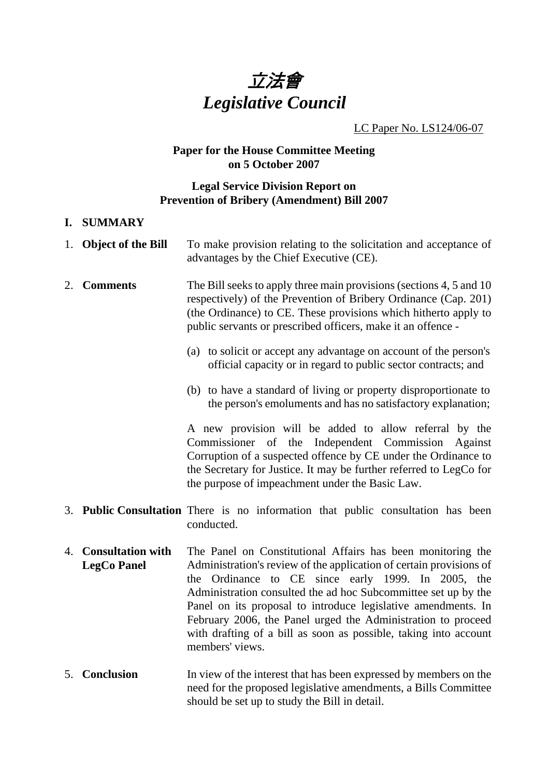

### LC Paper No. LS124/06-07

# **Paper for the House Committee Meeting on 5 October 2007**

### **Legal Service Division Report on Prevention of Bribery (Amendment) Bill 2007**

#### **I. SUMMARY**

|    | 1. Object of the Bill                      | To make provision relating to the solicitation and acceptance of<br>advantages by the Chief Executive (CE).                                                                                                                                                                                                                                                                                                                                                                        |
|----|--------------------------------------------|------------------------------------------------------------------------------------------------------------------------------------------------------------------------------------------------------------------------------------------------------------------------------------------------------------------------------------------------------------------------------------------------------------------------------------------------------------------------------------|
| 2. | <b>Comments</b>                            | The Bill seeks to apply three main provisions (sections 4, 5 and 10)<br>respectively) of the Prevention of Bribery Ordinance (Cap. 201)<br>(the Ordinance) to CE. These provisions which hitherto apply to<br>public servants or prescribed officers, make it an offence -                                                                                                                                                                                                         |
|    |                                            | (a) to solicit or accept any advantage on account of the person's<br>official capacity or in regard to public sector contracts; and                                                                                                                                                                                                                                                                                                                                                |
|    |                                            | (b) to have a standard of living or property disproportionate to<br>the person's emoluments and has no satisfactory explanation;                                                                                                                                                                                                                                                                                                                                                   |
|    |                                            | A new provision will be added to allow referral by the<br>Commissioner of the<br>Independent Commission<br>Against<br>Corruption of a suspected offence by CE under the Ordinance to<br>the Secretary for Justice. It may be further referred to LegCo for<br>the purpose of impeachment under the Basic Law.                                                                                                                                                                      |
|    |                                            | 3. Public Consultation There is no information that public consultation has been<br>conducted.                                                                                                                                                                                                                                                                                                                                                                                     |
|    | 4. Consultation with<br><b>LegCo Panel</b> | The Panel on Constitutional Affairs has been monitoring the<br>Administration's review of the application of certain provisions of<br>the Ordinance to CE since early 1999. In 2005, the<br>Administration consulted the ad hoc Subcommittee set up by the<br>Panel on its proposal to introduce legislative amendments. In<br>February 2006, the Panel urged the Administration to proceed<br>with drafting of a bill as soon as possible, taking into account<br>members' views. |
|    | 5. Conclusion                              | In view of the interest that has been expressed by members on the<br>need for the proposed legislative amendments, a Bills Committee<br>should be set up to study the Bill in detail.                                                                                                                                                                                                                                                                                              |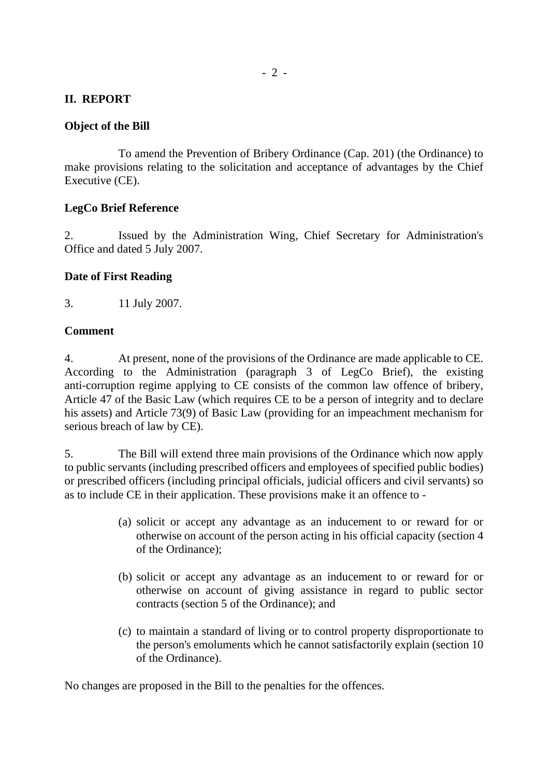#### **II. REPORT**

#### **Object of the Bill**

 To amend the Prevention of Bribery Ordinance (Cap. 201) (the Ordinance) to make provisions relating to the solicitation and acceptance of advantages by the Chief Executive (CE).

#### **LegCo Brief Reference**

2. Issued by the Administration Wing, Chief Secretary for Administration's Office and dated 5 July 2007.

#### **Date of First Reading**

3. 11 July 2007.

#### **Comment**

4. At present, none of the provisions of the Ordinance are made applicable to CE. According to the Administration (paragraph 3 of LegCo Brief), the existing anti-corruption regime applying to CE consists of the common law offence of bribery, Article 47 of the Basic Law (which requires CE to be a person of integrity and to declare his assets) and Article 73(9) of Basic Law (providing for an impeachment mechanism for serious breach of law by CE).

5. The Bill will extend three main provisions of the Ordinance which now apply to public servants (including prescribed officers and employees of specified public bodies) or prescribed officers (including principal officials, judicial officers and civil servants) so as to include CE in their application. These provisions make it an offence to -

- (a) solicit or accept any advantage as an inducement to or reward for or otherwise on account of the person acting in his official capacity (section 4 of the Ordinance);
- (b) solicit or accept any advantage as an inducement to or reward for or otherwise on account of giving assistance in regard to public sector contracts (section 5 of the Ordinance); and
- (c) to maintain a standard of living or to control property disproportionate to the person's emoluments which he cannot satisfactorily explain (section 10 of the Ordinance).

No changes are proposed in the Bill to the penalties for the offences.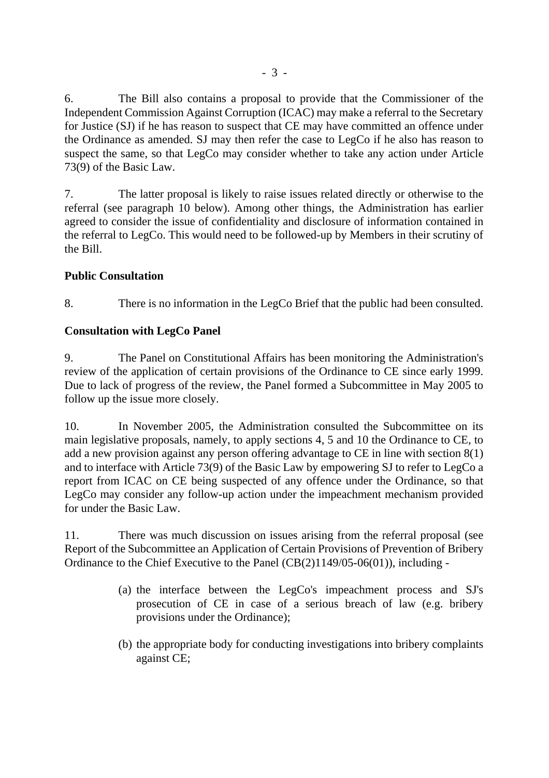6. The Bill also contains a proposal to provide that the Commissioner of the Independent Commission Against Corruption (ICAC) may make a referral to the Secretary for Justice (SJ) if he has reason to suspect that CE may have committed an offence under the Ordinance as amended. SJ may then refer the case to LegCo if he also has reason to suspect the same, so that LegCo may consider whether to take any action under Article 73(9) of the Basic Law.

7. The latter proposal is likely to raise issues related directly or otherwise to the referral (see paragraph 10 below). Among other things, the Administration has earlier agreed to consider the issue of confidentiality and disclosure of information contained in the referral to LegCo. This would need to be followed-up by Members in their scrutiny of the Bill.

## **Public Consultation**

8. There is no information in the LegCo Brief that the public had been consulted.

## **Consultation with LegCo Panel**

9. The Panel on Constitutional Affairs has been monitoring the Administration's review of the application of certain provisions of the Ordinance to CE since early 1999. Due to lack of progress of the review, the Panel formed a Subcommittee in May 2005 to follow up the issue more closely.

10. In November 2005, the Administration consulted the Subcommittee on its main legislative proposals, namely, to apply sections 4, 5 and 10 the Ordinance to CE, to add a new provision against any person offering advantage to CE in line with section 8(1) and to interface with Article 73(9) of the Basic Law by empowering SJ to refer to LegCo a report from ICAC on CE being suspected of any offence under the Ordinance, so that LegCo may consider any follow-up action under the impeachment mechanism provided for under the Basic Law.

11. There was much discussion on issues arising from the referral proposal (see Report of the Subcommittee an Application of Certain Provisions of Prevention of Bribery Ordinance to the Chief Executive to the Panel (CB(2)1149/05-06(01)), including -

- (a) the interface between the LegCo's impeachment process and SJ's prosecution of CE in case of a serious breach of law (e.g. bribery provisions under the Ordinance);
- (b) the appropriate body for conducting investigations into bribery complaints against CE;